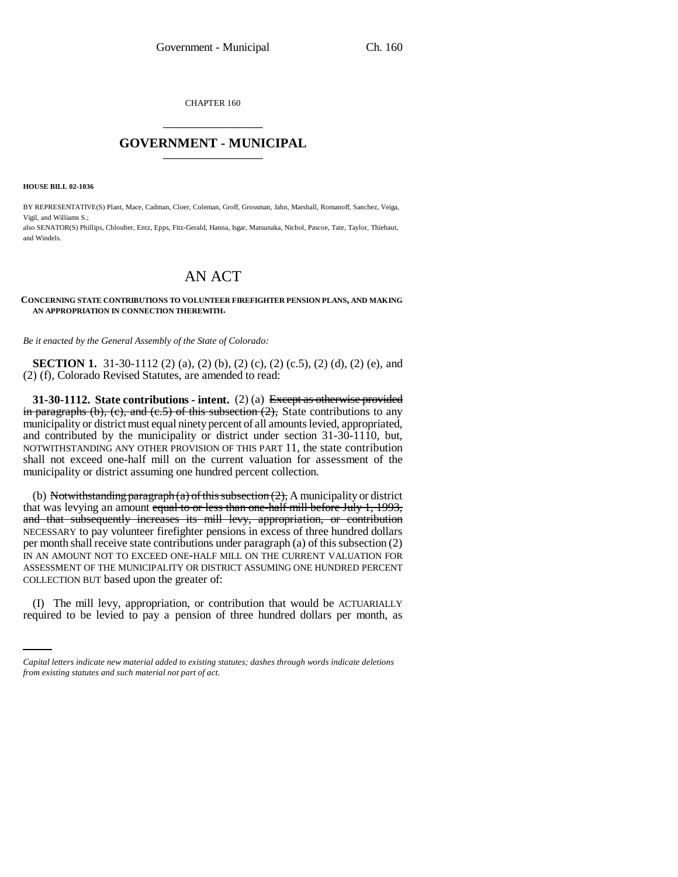CHAPTER 160 \_\_\_\_\_\_\_\_\_\_\_\_\_\_\_

## **GOVERNMENT - MUNICIPAL** \_\_\_\_\_\_\_\_\_\_\_\_\_\_\_

**HOUSE BILL 02-1036**

BY REPRESENTATIVE(S) Plant, Mace, Cadman, Cloer, Coleman, Groff, Grossman, Jahn, Marshall, Romanoff, Sanchez, Veiga, Vigil, and Williams S.;

also SENATOR(S) Phillips, Chlouber, Entz, Epps, Fitz-Gerald, Hanna, Isgar, Matsunaka, Nichol, Pascoe, Tate, Taylor, Thiebaut, and Windels.

# AN ACT

#### **CONCERNING STATE CONTRIBUTIONS TO VOLUNTEER FIREFIGHTER PENSION PLANS, AND MAKING AN APPROPRIATION IN CONNECTION THEREWITH.**

*Be it enacted by the General Assembly of the State of Colorado:*

**SECTION 1.** 31-30-1112 (2) (a), (2) (b), (2) (c), (2) (c.5), (2) (d), (2) (e), and (2) (f), Colorado Revised Statutes, are amended to read:

**31-30-1112. State contributions - intent.** (2) (a) Except as otherwise provided in paragraphs (b), (c), and (c.5) of this subsection (2). State contributions to any municipality or district must equal ninety percent of all amounts levied, appropriated, and contributed by the municipality or district under section 31-30-1110, but, NOTWITHSTANDING ANY OTHER PROVISION OF THIS PART 11, the state contribution shall not exceed one-half mill on the current valuation for assessment of the municipality or district assuming one hundred percent collection.

(b) Notwithstanding paragraph (a) of this subsection  $(2)$ , A municipality or district that was levying an amount equal to or less than one-half mill before July 1, 1993, and that subsequently increases its mill levy, appropriation, or contribution NECESSARY to pay volunteer firefighter pensions in excess of three hundred dollars per month shall receive state contributions under paragraph (a) of this subsection (2) IN AN AMOUNT NOT TO EXCEED ONE-HALF MILL ON THE CURRENT VALUATION FOR ASSESSMENT OF THE MUNICIPALITY OR DISTRICT ASSUMING ONE HUNDRED PERCENT COLLECTION BUT based upon the greater of:

 (I) The mill levy, appropriation, or contribution that would be ACTUARIALLY required to be levied to pay a pension of three hundred dollars per month, as

*Capital letters indicate new material added to existing statutes; dashes through words indicate deletions from existing statutes and such material not part of act.*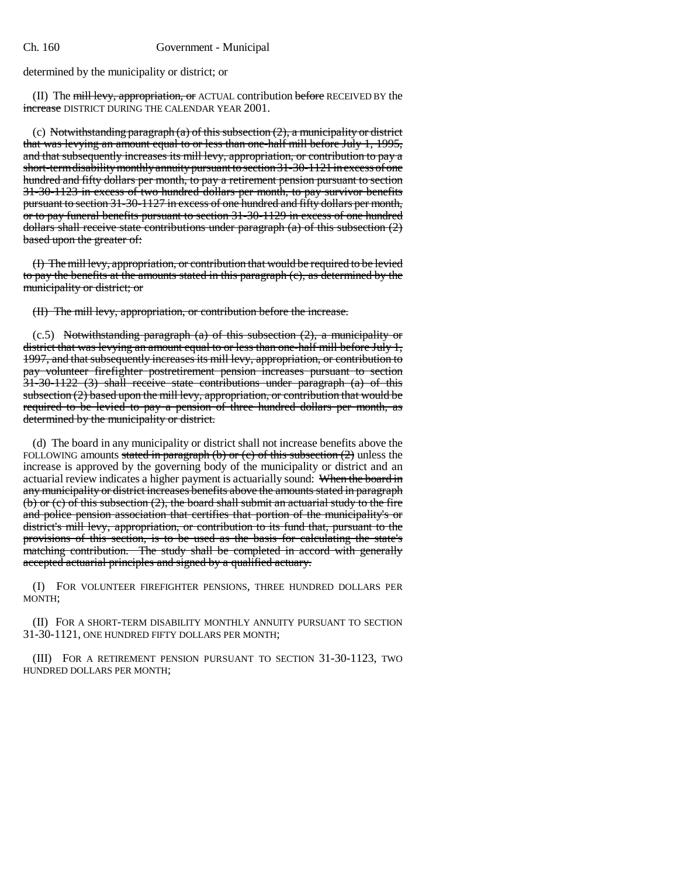#### Ch. 160 Government - Municipal

determined by the municipality or district; or

(II) The mill levy, appropriation, or ACTUAL contribution before RECEIVED BY the increase DISTRICT DURING THE CALENDAR YEAR 2001.

(c) Notwithstanding paragraph  $(a)$  of this subsection  $(2)$ , a municipality or district that was levying an amount equal to or less than one-half mill before July 1, 1995, and that subsequently increases its mill levy, appropriation, or contribution to pay a short-term disability monthly annuity pursuant to section 31-30-1121 in excess of one hundred and fifty dollars per month, to pay a retirement pension pursuant to section 31-30-1123 in excess of two hundred dollars per month, to pay survivor benefits pursuant to section 31-30-1127 in excess of one hundred and fifty dollars per month, or to pay funeral benefits pursuant to section 31-30-1129 in excess of one hundred dollars shall receive state contributions under paragraph (a) of this subsection (2) based upon the greater of:

(I) The mill levy, appropriation, or contribution that would be required to be levied to pay the benefits at the amounts stated in this paragraph (c), as determined by the municipality or district; or

(II) The mill levy, appropriation, or contribution before the increase.

 $(c.5)$  Notwithstanding paragraph  $(a)$  of this subsection  $(2)$ , a municipality or district that was levying an amount equal to or less than one-half mill before July 1, 1997, and that subsequently increases its mill levy, appropriation, or contribution to pay volunteer firefighter postretirement pension increases pursuant to section 31-30-1122 (3) shall receive state contributions under paragraph (a) of this subsection (2) based upon the mill levy, appropriation, or contribution that would be required to be levied to pay a pension of three hundred dollars per month, as determined by the municipality or district.

(d) The board in any municipality or district shall not increase benefits above the FOLLOWING amounts stated in paragraph (b) or (c) of this subsection  $(2)$  unless the increase is approved by the governing body of the municipality or district and an actuarial review indicates a higher payment is actuarially sound: When the board in any municipality or district increases benefits above the amounts stated in paragraph (b) or (c) of this subsection (2), the board shall submit an actuarial study to the fire and police pension association that certifies that portion of the municipality's or district's mill levy, appropriation, or contribution to its fund that, pursuant to the provisions of this section, is to be used as the basis for calculating the state's matching contribution. The study shall be completed in accord with generally accepted actuarial principles and signed by a qualified actuary.

(I) FOR VOLUNTEER FIREFIGHTER PENSIONS, THREE HUNDRED DOLLARS PER MONTH;

(II) FOR A SHORT-TERM DISABILITY MONTHLY ANNUITY PURSUANT TO SECTION 31-30-1121, ONE HUNDRED FIFTY DOLLARS PER MONTH;

(III) FOR A RETIREMENT PENSION PURSUANT TO SECTION 31-30-1123, TWO HUNDRED DOLLARS PER MONTH;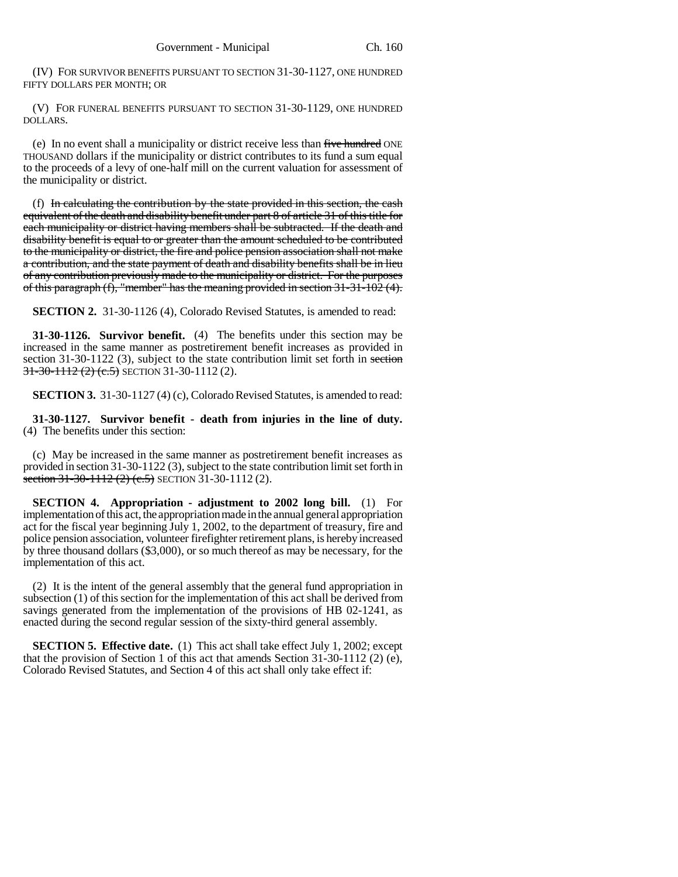(IV) FOR SURVIVOR BENEFITS PURSUANT TO SECTION 31-30-1127, ONE HUNDRED FIFTY DOLLARS PER MONTH; OR

(V) FOR FUNERAL BENEFITS PURSUANT TO SECTION 31-30-1129, ONE HUNDRED DOLLARS.

(e) In no event shall a municipality or district receive less than five hundred ONE THOUSAND dollars if the municipality or district contributes to its fund a sum equal to the proceeds of a levy of one-half mill on the current valuation for assessment of the municipality or district.

(f) In calculating the contribution by the state provided in this section, the cash equivalent of the death and disability benefit under part 8 of article 31 of this title for each municipality or district having members shall be subtracted. If the death and disability benefit is equal to or greater than the amount scheduled to be contributed to the municipality or district, the fire and police pension association shall not make a contribution, and the state payment of death and disability benefits shall be in lieu of any contribution previously made to the municipality or district. For the purposes of this paragraph  $(f)$ , "member" has the meaning provided in section  $31-31-102(4)$ .

**SECTION 2.** 31-30-1126 (4), Colorado Revised Statutes, is amended to read:

**31-30-1126. Survivor benefit.** (4) The benefits under this section may be increased in the same manner as postretirement benefit increases as provided in section 31-30-1122 (3), subject to the state contribution limit set forth in section 31-30-1112 (2) (e.5) SECTION 31-30-1112 (2).

**SECTION 3.** 31-30-1127 (4) (c), Colorado Revised Statutes, is amended to read:

**31-30-1127. Survivor benefit - death from injuries in the line of duty.** (4) The benefits under this section:

(c) May be increased in the same manner as postretirement benefit increases as provided in section 31-30-1122 (3), subject to the state contribution limit set forth in section  $31-30-1112$  (2) (e.5) SECTION 31-30-1112 (2).

**SECTION 4. Appropriation - adjustment to 2002 long bill.** (1) For implementation of this act, the appropriation made in the annual general appropriation act for the fiscal year beginning July 1, 2002, to the department of treasury, fire and police pension association, volunteer firefighter retirement plans, is hereby increased by three thousand dollars (\$3,000), or so much thereof as may be necessary, for the implementation of this act.

(2) It is the intent of the general assembly that the general fund appropriation in subsection (1) of this section for the implementation of this act shall be derived from savings generated from the implementation of the provisions of HB 02-1241, as enacted during the second regular session of the sixty-third general assembly.

**SECTION 5. Effective date.** (1) This act shall take effect July 1, 2002; except that the provision of Section 1 of this act that amends Section 31-30-1112 (2) (e), Colorado Revised Statutes, and Section 4 of this act shall only take effect if: